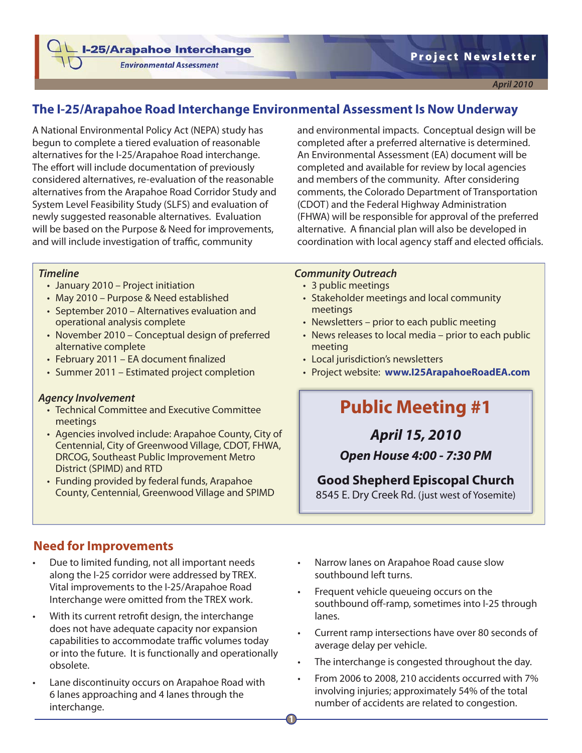**I-25/Arapahoe Interchange** 

**Environmental Assessment** 



# **The I-25/Arapahoe Road Interchange Environmental Assessment Is Now Underway**

A National Environmental Policy Act (NEPA) study has begun to complete a tiered evaluation of reasonable alternatives for the I-25/Arapahoe Road interchange. The effort will include documentation of previously considered alternatives, re-evaluation of the reasonable alternatives from the Arapahoe Road Corridor Study and System Level Feasibility Study (SLFS) and evaluation of newly suggested reasonable alternatives. Evaluation will be based on the Purpose & Need for improvements, and will include investigation of traffic, community

and environmental impacts. Conceptual design will be completed after a preferred alternative is determined. An Environmental Assessment (EA) document will be completed and available for review by local agencies and members of the community. After considering comments, the Colorado Department of Transportation (CDOT) and the Federal Highway Administration (FHWA) will be responsible for approval of the preferred alternative. A financial plan will also be developed in coordination with local agency staff and elected officials.

#### *Timeline*

- January 2010 Project initiation
- May 2010 Purpose & Need established
- September 2010 Alternatives evaluation and operational analysis complete
- November 2010 Conceptual design of preferred alternative complete
- February 2011 EA document finalized
- Summer 2011 Estimated project completion

#### *Agency Involvement*

- Technical Committee and Executive Committee meetings
- Agencies involved include: Arapahoe County, City of Centennial, City of Greenwood Village, CDOT, FHWA, DRCOG, Southeast Public Improvement Metro District (SPIMD) and RTD
- Funding provided by federal funds, Arapahoe County, Centennial, Greenwood Village and SPIMD

# **Need for Improvements**

- Due to limited funding, not all important needs along the I-25 corridor were addressed by TREX. Vital improvements to the I-25/Arapahoe Road Interchange were omitted from the TREX work.
- With its current retrofit design, the interchange does not have adequate capacity nor expansion capabilities to accommodate traffic volumes today or into the future. It is functionally and operationally obsolete.
- Lane discontinuity occurs on Arapahoe Road with 6 lanes approaching and 4 lanes through the interchange.

#### *Community Outreach*

- 3 public meetings
- Stakeholder meetings and local community meetings
- Newsletters prior to each public meeting
- News releases to local media prior to each public meeting
- Local jurisdiction's newsletters
- Project website: **www.I25ArapahoeRoadEA.com**

# **Public Meeting #1**

# *April 15, 2010*

### *Open House 4:00 - 7:30 PM*

# **Good Shepherd Episcopal Church**

8545 E. Dry Creek Rd. (just west of Yosemite)

- Narrow lanes on Arapahoe Road cause slow southbound left turns.
- Frequent vehicle queueing occurs on the southbound off-ramp, sometimes into I-25 through lanes.
- Current ramp intersections have over 80 seconds of average delay per vehicle.
- The interchange is congested throughout the day.
- From 2006 to 2008, 210 accidents occurred with 7% involving injuries; approximately 54% of the total number of accidents are related to congestion.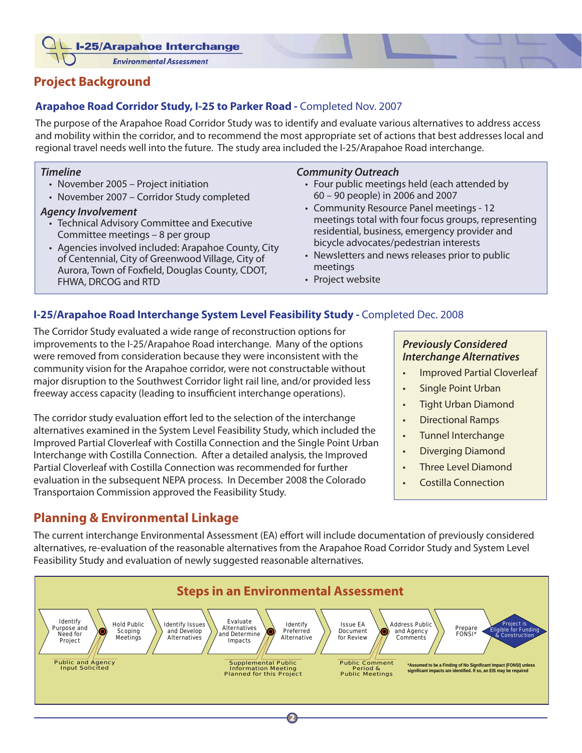- I-25/Arapahoe Interchange

**Environmental Assessment** 

# **Project Background**

### **Arapahoe Road Corridor Study, I-25 to Parker Road -** Completed Nov. 2007

The purpose of the Arapahoe Road Corridor Study was to identify and evaluate various alternatives to address access and mobility within the corridor, and to recommend the most appropriate set of actions that best addresses local and regional travel needs well into the future. The study area included the I-25/Arapahoe Road interchange.

#### *Timeline*

- November 2005 Project initiation
- November 2007 Corridor Study completed

#### *Agency Involvement*

- Technical Advisory Committee and Executive Committee meetings – 8 per group
- Agencies involved included: Arapahoe County, City of Centennial, City of Greenwood Village, City of Aurora, Town of Foxfield, Douglas County, CDOT, FHWA, DRCOG and RTD

#### *Community Outreach*

- Four public meetings held (each attended by 60 – 90 people) in 2006 and 2007
- Community Resource Panel meetings 12 meetings total with four focus groups, representing residential, business, emergency provider and bicycle advocates/pedestrian interests
- Newsletters and news releases prior to public meetings
- Project website

### **I-25/Arapahoe Road Interchange System Level Feasibility Study -** Completed Dec. 2008

The Corridor Study evaluated a wide range of reconstruction options for improvements to the I-25/Arapahoe Road interchange. Many of the options were removed from consideration because they were inconsistent with the community vision for the Arapahoe corridor, were not constructable without major disruption to the Southwest Corridor light rail line, and/or provided less freeway access capacity (leading to insufficient interchange operations).

The corridor study evaluation effort led to the selection of the interchange alternatives examined in the System Level Feasibility Study, which included the Improved Partial Cloverleaf with Costilla Connection and the Single Point Urban Interchange with Costilla Connection. After a detailed analysis, the Improved Partial Cloverleaf with Costilla Connection was recommended for further evaluation in the subsequent NEPA process. In December 2008 the Colorado Transportaion Commission approved the Feasibility Study.

# **Planning & Environmental Linkage**

# *Previously Considered Interchange Alternatives*

- Improved Partial Cloverleaf
- Single Point Urban
- Tight Urban Diamond
- Directional Ramps
- Tunnel Interchange
- Diverging Diamond
- Three Level Diamond
- Costilla Connection

The current interchange Environmental Assessment (EA) effort will include documentation of previously considered alternatives, re-evaluation of the reasonable alternatives from the Arapahoe Road Corridor Study and System Level Feasibility Study and evaluation of newly suggested reasonable alternatives.

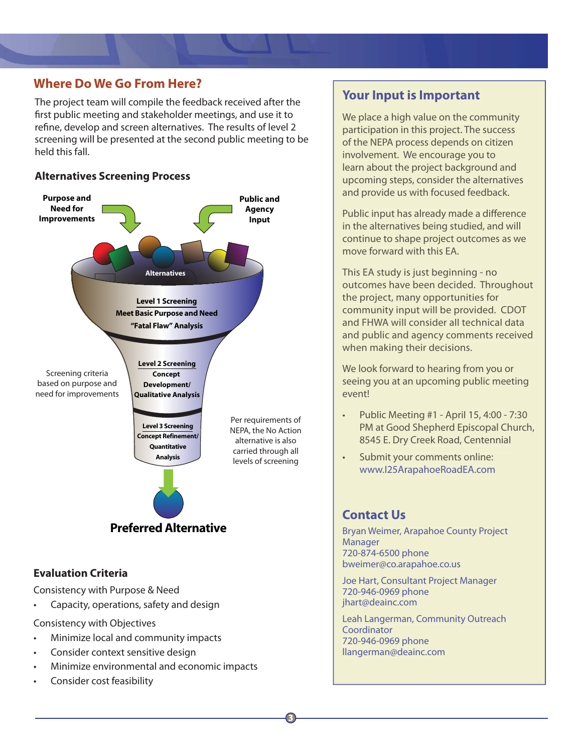### **Where Do We Go From Here?**

The project team will compile the feedback received after the first public meeting and stakeholder meetings, and use it to refine, develop and screen alternatives. The results of level 2 screening will be presented at the second public meeting to be held this fall.

### **Alternatives Screening Process**



### **Evaluation Criteria**

Consistency with Purpose & Need

• Capacity, operations, safety and design

Consistency with Objectives

- Minimize local and community impacts
- Consider context sensitive design
- Minimize environmental and economic impacts
- Consider cost feasibility

# **Your Input is Important**

We place a high value on the community participation in this project. The success of the NEPA process depends on citizen involvement. We encourage you to learn about the project background and upcoming steps, consider the alternatives and provide us with focused feedback.

Public input has already made a difference in the alternatives being studied, and will continue to shape project outcomes as we move forward with this EA.

This EA study is just beginning - no outcomes have been decided. Throughout the project, many opportunities for community input will be provided. CDOT and FHWA will consider all technical data and public and agency comments received when making their decisions.

We look forward to hearing from you or seeing you at an upcoming public meeting event!

- Public Meeting #1 April 15, 4:00 7:30 PM at Good Shepherd Episcopal Church, 8545 E. Dry Creek Road, Centennial
- Submit your comments online: www.I25ArapahoeRoadEA.com

# **Contact Us**

Bryan Weimer, Arapahoe County Project **Manager** 720-874-6500 phone bweimer@co.arapahoe.co.us

Joe Hart, Consultant Project Manager 720-946-0969 phone jhart@deainc.com

Leah Langerman, Community Outreach Coordinator 720-946-0969 phone llangerman@deainc.com